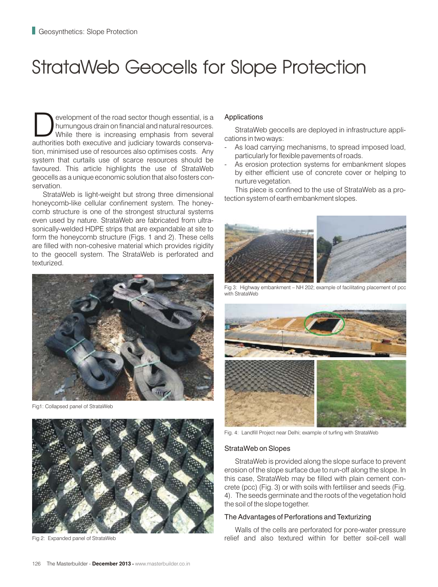# StrataWeb Geocells for Slope Protection

evelopment of the road sector though essential, is a humungous drain on financial and natural resources.<br>While there is increasing emphasis from several authorities both executive and judiciary towards conservaauthorities both executive and judiciary towards conservation, minimised use of resources also optimises costs. Any system that curtails use of scarce resources should be favoured. This article highlights the use of StrataWeb geocells as a unique economic solution that also fosters conservation.

StrataWeb is light-weight but strong three dimensional honeycomb-like cellular confinement system. The honeycomb structure is one of the strongest structural systems even used by nature. StrataWeb are fabricated from ultrasonically-welded HDPE strips that are expandable at site to form the honeycomb structure (Figs. 1 and 2). These cells are filled with non-cohesive material which provides rigidity to the geocell system. The StrataWeb is perforated and texturized.



Fig1: Collapsed panel of StrataWeb



Fig 2: Expanded panel of StrataWeb

## Applications

StrataWeb geocells are deployed in infrastructure applications in two ways:

- As load carrying mechanisms, to spread imposed load, particularly for flexible pavements of roads.
- As erosion protection systems for embankment slopes by either efficient use of concrete cover or helping to nurture vegetation.

This piece is confined to the use of StrataWeb as a protection system of earth embankment slopes.



Fig 3: Highway embankment – NH 202; example of facilitating placement of pcc with StrataWeb



Fig. 4: Landfill Project near Delhi; example of turfing with StrataWeb

#### StrataWeb on Slopes

StrataWeb is provided along the slope surface to prevent erosion of the slope surface due to run-off along the slope. In this case, StrataWeb may be filled with plain cement concrete (pcc) (Fig. 3) or with soils with fertiliser and seeds (Fig. 4). The seeds germinate and the roots of the vegetation hold the soil of the slope together.

### The Advantages of Perforations and Texturizing

Walls of the cells are perforated for pore-water pressure relief and also textured within for better soil-cell wall